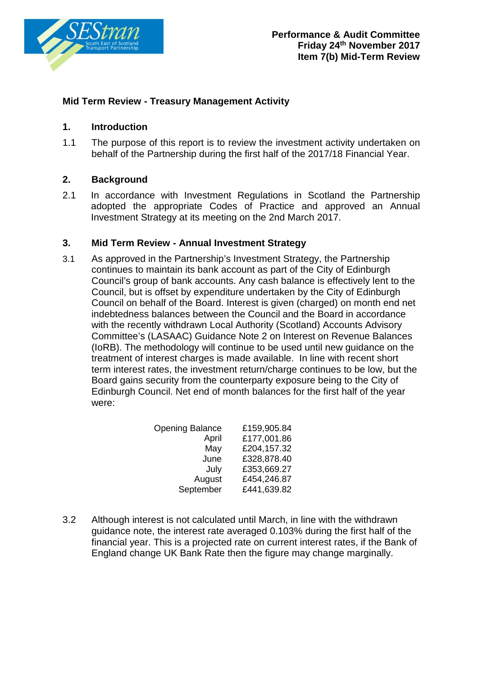

# **Mid Term Review - Treasury Management Activity**

### **1. Introduction**

1.1 The purpose of this report is to review the investment activity undertaken on behalf of the Partnership during the first half of the 2017/18 Financial Year.

## **2. Background**

2.1 In accordance with Investment Regulations in Scotland the Partnership adopted the appropriate Codes of Practice and approved an Annual Investment Strategy at its meeting on the 2nd March 2017.

### **3. Mid Term Review - Annual Investment Strategy**

3.1 As approved in the Partnership's Investment Strategy, the Partnership continues to maintain its bank account as part of the City of Edinburgh Council's group of bank accounts. Any cash balance is effectively lent to the Council, but is offset by expenditure undertaken by the City of Edinburgh Council on behalf of the Board. Interest is given (charged) on month end net indebtedness balances between the Council and the Board in accordance with the recently withdrawn Local Authority (Scotland) Accounts Advisory Committee's (LASAAC) Guidance Note 2 on Interest on Revenue Balances (IoRB). The methodology will continue to be used until new guidance on the treatment of interest charges is made available. In line with recent short term interest rates, the investment return/charge continues to be low, but the Board gains security from the counterparty exposure being to the City of Edinburgh Council. Net end of month balances for the first half of the year were:

| <b>Opening Balance</b> | £159,905.84 |
|------------------------|-------------|
| April                  | £177,001.86 |
| May                    | £204,157.32 |
| June                   | £328,878.40 |
| July                   | £353,669.27 |
| August                 | £454,246.87 |
| September              | £441,639.82 |

3.2 Although interest is not calculated until March, in line with the withdrawn guidance note, the interest rate averaged 0.103% during the first half of the financial year. This is a projected rate on current interest rates, if the Bank of England change UK Bank Rate then the figure may change marginally.